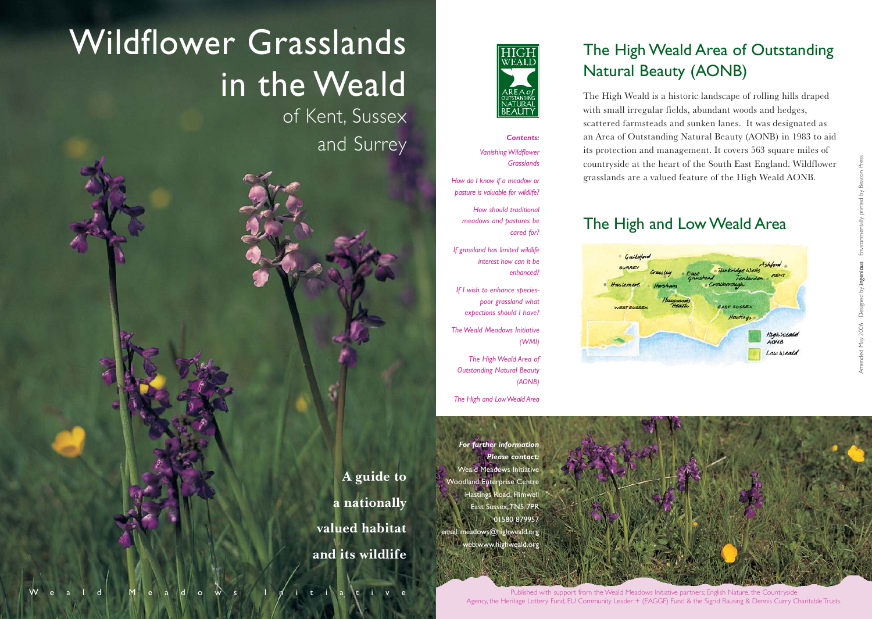# Wildflower Grasslands in the Weald

of Kent, Sussex and Surrey





#### *Contents: Vanishing Wildflower Grasslands*

*How do I know if a meadow or pasture is valuable for wildlife?*

*How should traditional meadows and pastures be cared for?*

*If grassland has limited wildlife interest how can it be enhanced?*

*If I wish to enhance speciespoor grassland what expections should I have?*

*The Weald Meadows Initiative (WMI)*

*The High Weald Area of Outstanding Natural Beauty (AONB)*

*The High and Low Weald Area*

*For further information Please contact:* Weald Meadows Initiative Woodland Enterprise Centre Hastings Road, Flimwell East Sussex,TN5 7PR 01580 879957 meado<mark>ws@highweald.org</mark> web:www.highweald.org

# The High Weald Area of Outstanding Natural Beauty (AONB)

The High Weald is a historic landscape of rolling hills draped with small irregular fields, abundant woods and hedges, scattered farmsteads and sunken lanes. It was designated as an Area of Outstanding Natural Beauty (AONB) in 1983 to aid its protection and management. It covers 563 square miles of countryside at the heart of the South East England. Wildflower grasslands are a valued feature of the High Weald AONB.

## The High and Low Weald Area



Amended May 2006 Designed by ingenious Environmentally printed by Beacon Press



Published with support from the Weald Meadows Initiative partners; English Nature, the Countryside Agency, the Heritage Lottery Fund, EU Community Leader + (EAGGF) Fund & the Sigrid Rausing & Dennis Curry Charitable Trusts.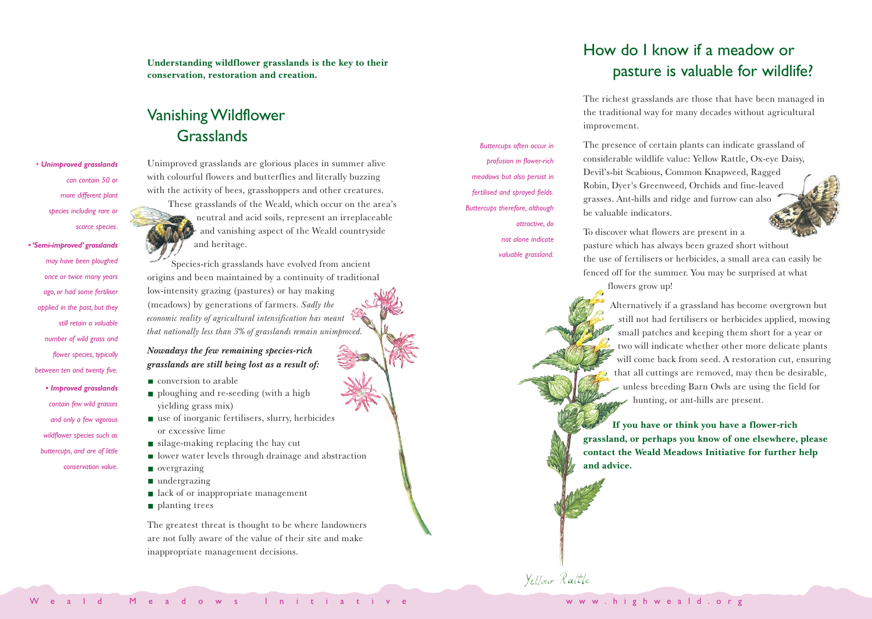**Understanding wildflower grasslands is the key to their conservation, restoration and creation.** 

### Vanishing Wildflower Grasslands

*• Unimproved grasslands can contain 50 or more different plant species including rare or scarce species.*

*• 'Semi-improved' grasslands may have been ploughed once or twice many years ago, or had some fertiliser applied in the past, but they still retain a valuable number of wild grass and flower species, typically between ten and twenty five. • Improved grasslands contain few wild grasses and only a few vigorous wildflower species such as buttercups, and are of little conservation value.*

Unimproved grasslands are glorious places in summer alive with colourful flowers and butterflies and literally buzzing with the activity of bees, grasshoppers and other creatures. These grasslands of the Weald, which occur on the area's neutral and acid soils, represent an irreplaceable and vanishing aspect of the Weald countryside and heritage.

Species-rich grasslands have evolved from ancient origins and been maintained by a continuity of traditional low-intensity grazing (pastures) or hay making (meadows) by generations of farmers. *Sadly the economic reality of agricultural intensification has meant that nationally less than 3% of grasslands remain unimproved.*

*Nowadays the few remaining species-rich grasslands are still being lost as a result of:*

- conversion to arable
- ploughing and re-seeding (with a high yielding grass mix)
- use of inorganic fertilisers, slurry, herbicides or excessive lime
- $\blacksquare$  silage-making replacing the hay cut
- **If** lower water levels through drainage and abstraction overgrazing
	- undergrazing
	- lack of or inappropriate management
	- planting trees

The greatest threat is thought to be where landowners are not fully aware of the value of their site and make inappropriate management decisions.

How do I know if a meadow or pasture is valuable for wildlife?

The richest grasslands are those that have been managed in the traditional way for many decades without agricultural improvement.

The presence of certain plants can indicate grassland of considerable wildlife value: Yellow Rattle, Ox-eye Daisy, Devil's-bit Scabious, Common Knapweed, Ragged Robin, Dyer's Greenweed, Orchids and fine-leaved grasses. Ant-hills and ridge and furrow can also be valuable indicators.

To discover what flowers are present in a pasture which has always been grazed short without the use of fertilisers or herbicides, a small area can easily be fenced off for the summer. You may be surprised at what

flowers grow up!

Alternatively if a grassland has become overgrown but still not had fertilisers or herbicides applied, mowing small patches and keeping them short for a year or two will indicate whether other more delicate plants will come back from seed. A restoration cut, ensuring that all cuttings are removed, may then be desirable, unless breeding Barn Owls are using the field for hunting, or ant-hills are present.

**If you have or think you have a flower-rich grassland, or perhaps you know of one elsewhere, please contact the Weald Meadows Initiative for further help and advice.**

Yellow Rattle

*Buttercups often occur in profusion in flower-rich meadows but also persist in fertilised and sprayed fields. Buttercups therefore, although*

> *attractive, do not alone indicate valuable grassland.*

www.highweald.org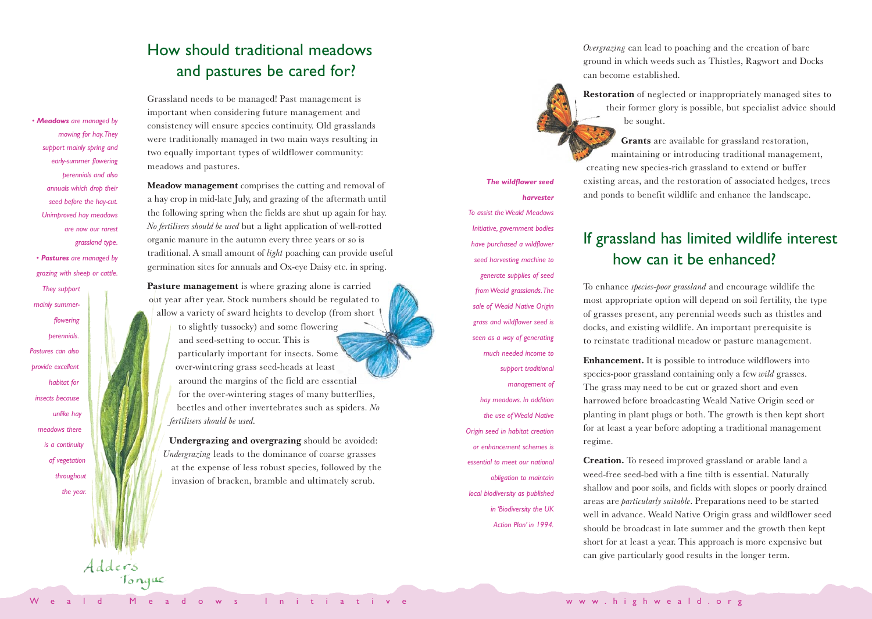# How should traditional meadows and pastures be cared for?

Grassland needs to be managed! Past management is important when considering future management and consistency will ensure species continuity. Old grasslands were traditionally managed in two main ways resulting in two equally important types of wildflower community: meadows and pastures.

*• Meadows are managed by mowing for hay.They support mainly spring and early-summer flowering perennials and also annuals which drop their seed before the hay-cut. Unimproved hay meadows are now our rarest grassland type.*

*• Pastures are managed by grazing with sheep or cattle.*

*They support mainly summerflowering perennials. Pastures can also provide excellent habitat for insects because unlike hay meadows there is a continuity of vegetation throughout the year.* **Meadow management** comprises the cutting and removal of a hay crop in mid-late July, and grazing of the aftermath until the following spring when the fields are shut up again for hay. *No fertilisers should be used* but a light application of well-rotted organic manure in the autumn every three years or so is traditional. A small amount of *light* poaching can provide useful germination sites for annuals and Ox-eye Daisy etc. in spring.

**Pasture management** is where grazing alone is carried out year after year. Stock numbers should be regulated to allow a variety of sward heights to develop (from short to slightly tussocky) and some flowering and seed-setting to occur. This is particularly important for insects. Some over-wintering grass seed-heads at least around the margins of the field are essential for the over-wintering stages of many butterflies, beetles and other invertebrates such as spiders. *No fertilisers should be used.*

**Undergrazing and overgrazing** should be avoided: *Undergrazing* leads to the dominance of coarse grasses at the expense of less robust species, followed by the invasion of bracken, bramble and ultimately scrub.

*The wildflower seed harvester To assist the Weald Meadows Initiative, government bodies have purchased a wildflower seed harvesting machine to generate supplies of seed from Weald grasslands.The sale of Weald Native Origin grass and wildflower seed is seen as a way of generating much needed income to support traditional management of hay meadows. In addition the use of Weald Native Origin seed in habitat creation or enhancement schemes is essential to meet our national obligation to maintain local biodiversity as published in 'Biodiversity the UK Action Plan' in 1994.*

*Overgrazing* can lead to poaching and the creation of bare ground in which weeds such as Thistles, Ragwort and Docks can become established.

**Restoration** of neglected or inappropriately managed sites to their former glory is possible, but specialist advice should be sought.

**Grants** are available for grassland restoration, maintaining or introducing traditional management, creating new species-rich grassland to extend or buffer existing areas, and the restoration of associated hedges, trees and ponds to benefit wildlife and enhance the landscape.

# If grassland has limited wildlife interest how can it be enhanced?

To enhance *species-poor grassland* and encourage wildlife the most appropriate option will depend on soil fertility, the type of grasses present, any perennial weeds such as thistles and docks, and existing wildlife. An important prerequisite is to reinstate traditional meadow or pasture management.

**Enhancement.** It is possible to introduce wildflowers into species-poor grassland containing only a few *wild* grasses. The grass may need to be cut or grazed short and even harrowed before broadcasting Weald Native Origin seed or planting in plant plugs or both. The growth is then kept short for at least a year before adopting a traditional management regime.

**Creation.** To reseed improved grassland or arable land a weed-free seed-bed with a fine tilth is essential. Naturally shallow and poor soils, and fields with slopes or poorly drained areas are *particularly suitable*. Preparations need to be started well in advance. Weald Native Origin grass and wildflower seed should be broadcast in late summer and the growth then kept short for at least a year. This approach is more expensive but can give particularly good results in the longer term.

Adders<br>Tongue

www.highweald.org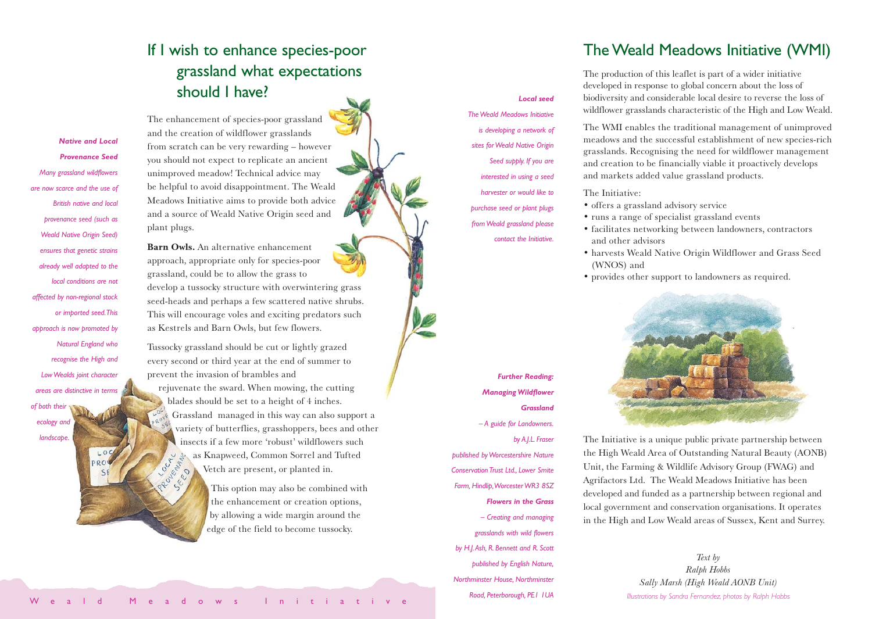## If I wish to enhance species-poor grassland what expectations should I have?

The enhancement of species-poor grassland and the creation of wildflower grasslands from scratch can be very rewarding – however you should not expect to replicate an ancient unimproved meadow! Technical advice may be helpful to avoid disappointment. The Weald Meadows Initiative aims to provide both advice and a source of Weald Native Origin seed and plant plugs.

**Barn Owls.** An alternative enhancement approach, appropriate only for species-poor grassland, could be to allow the grass to develop a tussocky structure with overwintering grass seed-heads and perhaps a few scattered native shrubs. This will encourage voles and exciting predators such as Kestrels and Barn Owls, but few flowers.

Tussocky grassland should be cut or lightly grazed every second or third year at the end of summer to prevent the invasion of brambles and rejuvenate the sward. When mowing, the cutting blades should be set to a height of 4 inches. Grassland managed in this way can also support a variety of butterflies, grasshoppers, bees and other insects if a few more 'robust' wildflowers such as Knapweed, Common Sorrel and Tufted OUNTARY O SEN 20 Vetch are present, or planted in.

This option may also be combined with the enhancement or creation options, by allowing a wide margin around the edge of the field to become tussocky.

#### *The Weald Meadows Initiative is developing a network of sites for Weald Native Origin Seed supply. If you are interested in using a seed harvester or would like to purchase seed or plant plugs from Weald grassland please*

*contact the Initiative.*

*Local seed*

The Weald Meadows Initiative (WMI)

The production of this leaflet is part of a wider initiative developed in response to global concern about the loss of biodiversity and considerable local desire to reverse the loss of wildflower grasslands characteristic of the High and Low Weald.

The WMI enables the traditional management of unimproved meadows and the successful establishment of new species-rich grasslands. Recognising the need for wildflower management and creation to be financially viable it proactively develops and markets added value grassland products.

#### The Initiative:

- offers a grassland advisory service
- runs a range of specialist grassland events
- facilitates networking between landowners, contractors and other advisors
- harvests Weald Native Origin Wildflower and Grass Seed (WNOS) and
- provides other support to landowners as required.



*Further Reading: Managing Wildflower Grassland – A guide for Landowners. by A.J.L. Fraser published by Worcestershire Nature Conservation Trust Ltd., Lower Smite Farm, Hindlip,Worcester WR3 8SZ Flowers in the Grass*

*– Creating and managing grasslands with wild flowers by H.J.Ash, R. Bennett and R. Scott published by English Nature, Northminster House, Northminster Road, Peterborough, PE1 1UA*

The Initiative is a unique public private partnership between the High Weald Area of Outstanding Natural Beauty (AONB) Unit, the Farming & Wildlife Advisory Group (FWAG) and Agrifactors Ltd. The Weald Meadows Initiative has been developed and funded as a partnership between regional and local government and conservation organisations. It operates in the High and Low Weald areas of Sussex, Kent and Surrey.

> *Text by Ralph Hobbs Sally Marsh (High Weald AONB Unit) Illustrations by Sandra Fernandez, photos by Ralph Hobbs*

*Provenance Seed Many grassland wildflowers are now scarce and the use of British native and local provenance seed (such as Weald Native Origin Seed) ensures that genetic strains already well adapted to the local conditions are not affected by non-regional stock or imported seed.This approach is now promoted by Natural England who recognise the High and Low Wealds joint character areas are distinctive in terms of both their ecology and landscape.*

 $10$ 

 $D$ 

*Native and Local*